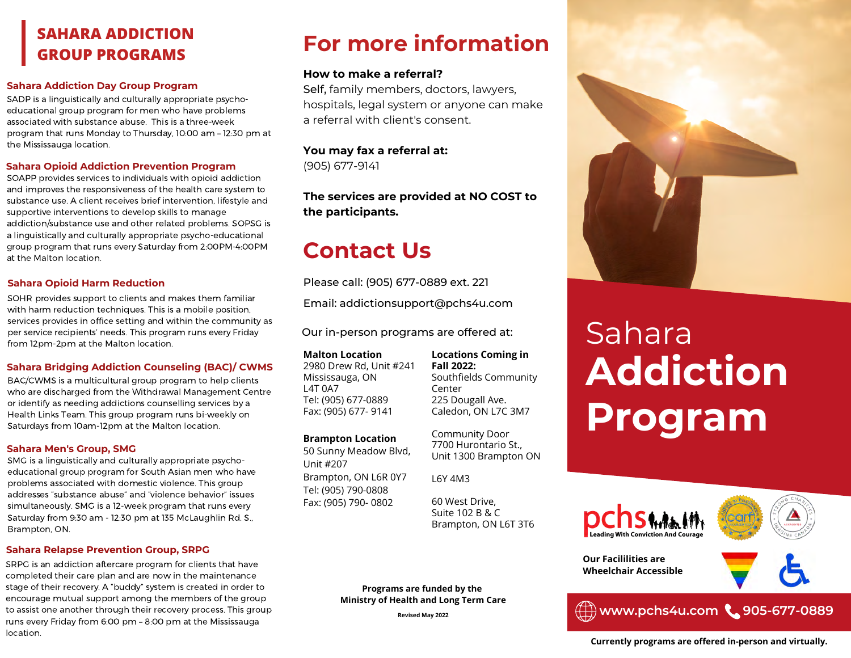# **GROUP PROGRAMS**

#### **Sahara Addiction Day Group Program**

SADP is a linguistically and culturally appropriate psychoeducational group program for men who have problems associated with substance abuse. This is a three-week program that runs Monday to Thursday, 10:00 am – 12:30 pm at the Mississauga location.

#### **Sahara Opioid Addiction Prevention Program**

SOAPP provides services to individuals with opioid addiction and improves the responsiveness of the health care system to substance use. A client receives brief intervention, lifestyle and supportive interventions to develop skills to manage addiction/substance use and other related problems. SOPSG is a linguistically and culturally appropriate psycho-educational group program that runs every Saturday from 2:00PM-4:00PM at the Malton location.

#### **Sahara Opioid Harm Reduction**

SOHR provides support to clients and makes them familiar with harm reduction techniques. This is a mobile position, services provides in office setting and within the community as per service recipients' needs. This program runs every Friday from 12pm-2pm at the Malton location.

#### **Sahara Bridging Addiction Counseling (BAC)/ CWMS**

BAC/CWMS is a multicultural group program to help clients who are discharged from the Withdrawal Management Centre or identify as needing addictions counselling services by a Health Links Team. This group program runs bi-weekly on Saturdays from 10am-12pm at the Malton location.

#### **Sahara Men's Group, SMG**

SMG is a linguistically and culturally appropriate psychoeducational group program for South Asian men who have problems associated with domestic violence. This group addresses "substance abuse" and "violence behavior" issues simultaneously. SMG is a 12-week program that runs every Saturday from 9:30 am - 12:30 pm at 135 McLaughlin Rd. S., Brampton, ON.

#### **Sahara Relapse Prevention Group, SRPG**

SRPG is an addiction aftercare program for clients that have completed their care plan and are now in the maintenance stage of their recovery. A "buddy" system is created in order to encourage mutual support among the members of the group to assist one another through their recovery process. This group runs every Friday from 6:00 pm – 8:00 pm at the Mississauga location.

# **For more information SAHARA ADDICTION**

#### **How to make a referral?**

Self, family members, doctors, lawyers, hospitals, legal system or anyone can make a referral with client's consent.

**You may fax a referral at:** (905) 677-9141

**The services are provided at NO COST to the participants.**

# **Contact Us**

Please call: (905) 677-0889 ext. 221

Email: addictionsupport@pchs4u.com

Our in-person programs are offered at:

**Malton Location** 2980 Drew Rd, Unit #241 Mississauga, ON L4T 0A7 Tel: (905) 677-0889 Fax: (905) 677- 9141

#### **Brampton Location**

50 Sunny Meadow Blvd, Unit #207 Brampton, ON L6R 0Y7 Tel: (905) 790-0808 Fax: (905) 790- 0802

**Locations Coming in Fall 2022:** Southfields Community Center 225 Dougall Ave. Caledon, ON L7C 3M7

Community Door 7700 Hurontario St., Unit 1300 Brampton ON

L6Y 4M3

60 West Drive, Suite 102 B & C Brampton, ON L6T 3T6

**Programs are funded by the Ministry of Health and Long Term Care**

**Revised May 2022**



# Sahara **Addiction Program**

**Our Facililities are**



**www.pchs4u.com 905-677-0889**

**Currently programs are offered in-person and virtually.**

**Wheelchair Accessible**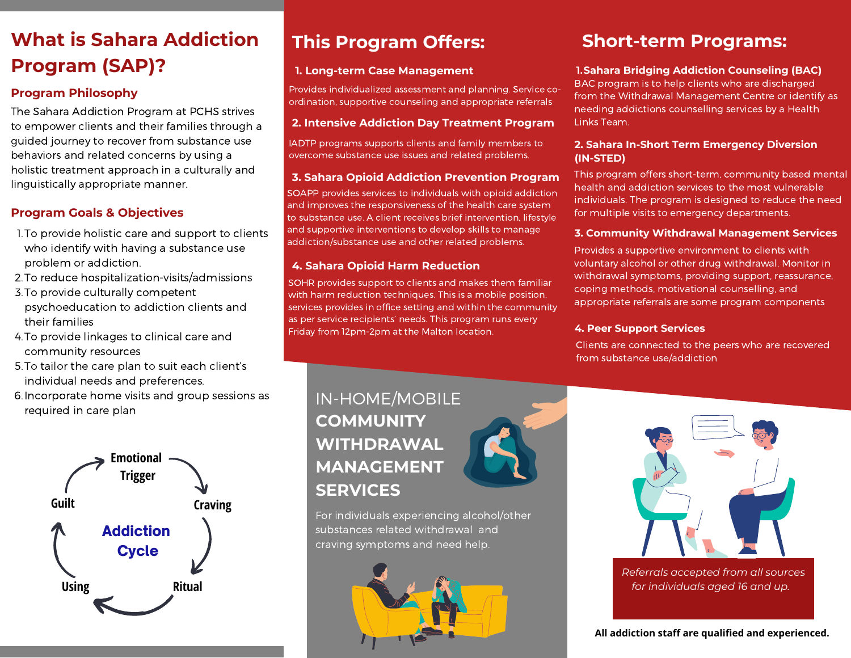# **What is Sahara Addiction Program (SAP)?**

# **Program Philosophy**

The Sahara Addiction Program at PCHS strives to empower clients and their families through a guided journey to recover from substance use behaviors and related concerns by using a holistic treatment approach in a culturally and linguistically appropriate manner.

# **Program Goals & Objectives**

- 1. To provide holistic care and support to clients who identify with having a substance use problem or addiction.
- 2. To reduce hospitalization-visits/admissions
- 3. To provide culturally competent psychoeducation to addiction clients and their families
- 4. To provide linkages to clinical care and community resources
- 5. To tailor the care plan to suit each client's individual needs and preferences.
- 6. Incorporate home visits and group sessions as required in care plan



# **This Program Offers:**

# **1. Long-term Case Management**

Provides individualized assessment and planning. Service coordination, supportive counseling and appropriate referrals

# **2. Intensive Addiction Day Treatment Program**

IADTP programs supports clients and family members to overcome substance use issues and related problems.

## **3. Sahara Opioid Addiction Prevention Program**

SOAPP provides services to individuals with opioid addiction and improves the responsiveness of the health care system to substance use. A client receives brief intervention, lifestyle and supportive interventions to develop skills to manage addiction/substance use and other related problems.

# **4. Sahara Opioid Harm Reduction**

SOHR provides support to clients and makes them familiar with harm reduction techniques. This is a mobile position, services provides in office setting and within the community as per service recipients' needs. This program runs every Friday from 12pm-2pm at the Malton location.

# **Short-term Programs:**

# **1.Sahara Bridging Addiction Counseling (BAC)**

BAC program is to help clients who are discharged from the Withdrawal Management Centre or identify as needing addictions counselling services by a Health Links Team.

#### **2. Sahara In-Short Term Emergency Diversion (IN-STED)**

This program offers short-term, community based mental health and addiction services to the most vulnerable individuals. The program is designed to reduce the need for multiple visits to emergency departments.

## **3. Community Withdrawal Management Services**

Provides a supportive environment to clients with voluntary alcohol or other drug withdrawal. Monitor in withdrawal symptoms, providing support, reassurance, coping methods, motivational counselling, and appropriate referrals are some program components

# **4. Peer Support Services**

Clients are connected to the peers who are recovered from substance use/addiction

# IN-HOME/MOBILE **COMMUNITY WITHDRAWAL MANAGEMENT SERVICES**

For individuals experiencing alcohol/other substances related withdrawal and craving symptoms and need help.





*Referrals accepted from all sources for individuals aged 16 and up.* 

**All addiction staff are qualified and experienced.**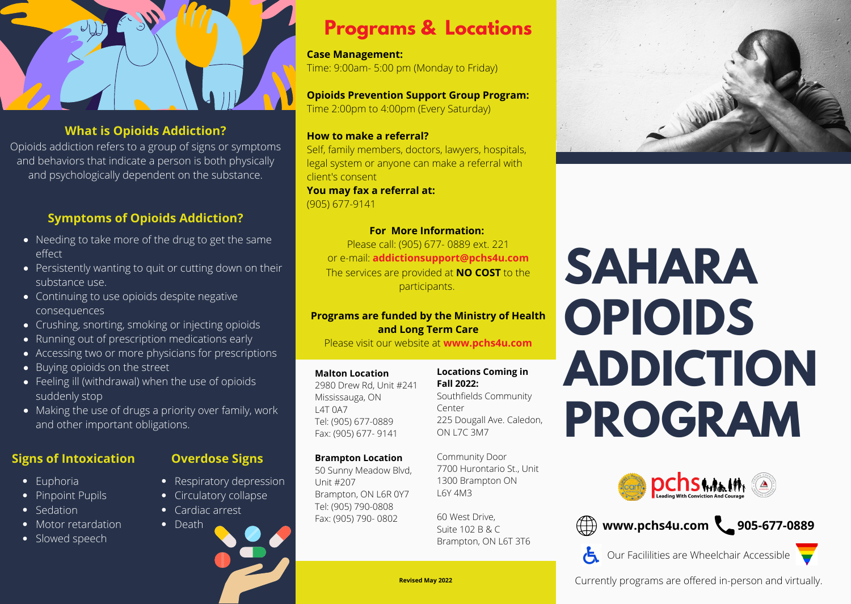# **What is Opioids Addiction?**

Opioids addiction refers to a group of signs or symptoms and behaviors that indicate a person is both physically and psychologically dependent on the substance.

# **Symptoms of Opioids Addiction?**

- Needing to take more of the drug to get the same effect
- Persistently wanting to quit or cutting down on their substance use.
- Continuing to use opioids despite negative consequences
- Crushing, snorting, smoking or injecting opioids
- Running out of prescription medications early
- Accessing two or more physicians for prescriptions
- Buying opioids on the street
- Feeling ill (withdrawal) when the use of opioids suddenly stop
- Making the use of drugs a priority over family, work and other important obligations.

# **Signs of Intoxication**

- Euphoria
- Pinpoint Pupils
- Sedation
- Motor retardation
- Slowed speech

# **Overdose Signs**

- Respiratory depression
- Circulatory collapse
- Cardiac arrest
- Death

# **Programs & Locations**

**Case Management:** Time: 9:00am- 5:00 pm (Monday to Friday)

**Opioids Prevention Support Group Program:** Time 2:00pm to 4:00pm (Every Saturday)

## **How to make a referral?**

Self, family members, doctors, lawyers, hospitals, legal system or anyone can make a referral with client's consent

**You may fax a referral at:** (905) 677-9141

# **For More Information:**

Please call: (905) 677- 0889 ext. 221 or e-mail: **addictionsupport@pchs4u.com** The services are provided at **NO COST** to the participants.

# **Programs are funded by the Ministry of Health and Long Term Care**

Please visit our website at **www.pchs4u.com**

#### **Malton Location**

2980 Drew Rd, Unit #241 Mississauga, ON L4T 0A7 Tel: (905) 677-0889 Fax: (905) 677- 9141

**Brampton Location** 50 Sunny Meadow Blvd,

Brampton, ON L6R 0Y7 Tel: (905) 790-0808 Fax: (905) 790- 0802

Unit #207

#### **Locations Coming in Fall 2022:**

Southfields Community Center 225 Dougall Ave. Caledon, ON L7C 3M7

Community Door 7700 Hurontario St., Unit 1300 Brampton ON L6Y 4M3

60 West Drive, Suite 102 B & C Brampton, ON L6T 3T6



# **SAHARA OPIOIDS ADDICTION PROGRAM**





Our Facililities are Wheelchair Accessible

 $\epsilon$ 

**Revised May 2022 Currently programs are offered in-person and virtually.**